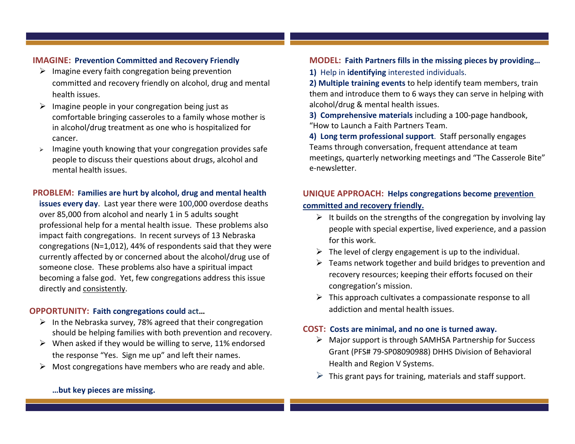### **IMAGINE: Prevention Committed and Recovery Friendly**

- $\triangleright$  Imagine every faith congregation being prevention committed and recovery friendly on alcohol, drug and mental health issues.
- $\triangleright$  Imagine people in your congregation being just as comfortable bringing casseroles to a family whose mother is in alcohol/drug treatment as one who is hospitalized for cancer.
- $\triangleright$  Imagine youth knowing that your congregation provides safe people to discuss their questions about drugs, alcohol and mental health issues.

#### **PROBLEM: Families are hurt by alcohol, drug and mental health**

**issues every day**. Last year there were 100,000 overdose deaths over 85,000 from alcohol and nearly 1 in 5 adults sought professional help for a mental health issue. These problems also impact faith congregations. In recent surveys of 13 Nebraska congregations (N=1,012), 44% of respondents said that they were currently affected by or concerned about the alcohol/drug use of someone close. These problems also have a spiritual impact becoming a false god. Yet, few congregations address this issue directly and consistently.

# **OPPORTUNITY: Faith congregations could act…**

- $\triangleright$  In the Nebraska survey, 78% agreed that their congregation should be helping families with both prevention and recovery.
- $\triangleright$  When asked if they would be willing to serve, 11% endorsed the response "Yes. Sign me up" and left their names.
- $\triangleright$  Most congregations have members who are ready and able.

### **MODEL: Faith Partners fills in the missing pieces by providing…**

**1)** Help in **identifying** interested individuals.

**2) Multiple training events** to help identify team members, train them and introduce them to 6 ways they can serve in helping with alcohol/drug & mental health issues.

**3) Comprehensive materials** including a 100-page handbook, "How to Launch a Faith Partners Team.

**4) Long term professional support**. Staff personally engages Teams through conversation, frequent attendance at team meetings, quarterly networking meetings and "The Casserole Bite" e-newsletter.

# **UNIQUE APPROACH: Helps congregations become prevention committed and recovery friendly.**

- $\triangleright$  It builds on the strengths of the congregation by involving lay people with special expertise, lived experience, and a passion for this work.
- $\triangleright$  The level of clergy engagement is up to the individual.
- $\triangleright$  Teams network together and build bridges to prevention and recovery resources; keeping their efforts focused on their congregation's mission.
- $\triangleright$  This approach cultivates a compassionate response to all addiction and mental health issues.

# **COST: Costs are minimal, and no one is turned away.**

- $\triangleright$  Major support is through SAMHSA Partnership for Success Grant (PFS# 79-SP08090988) DHHS Division of Behavioral Health and Region V Systems.
- $\triangleright$  This grant pays for training, materials and staff support.

#### **…but key pieces are missing.**